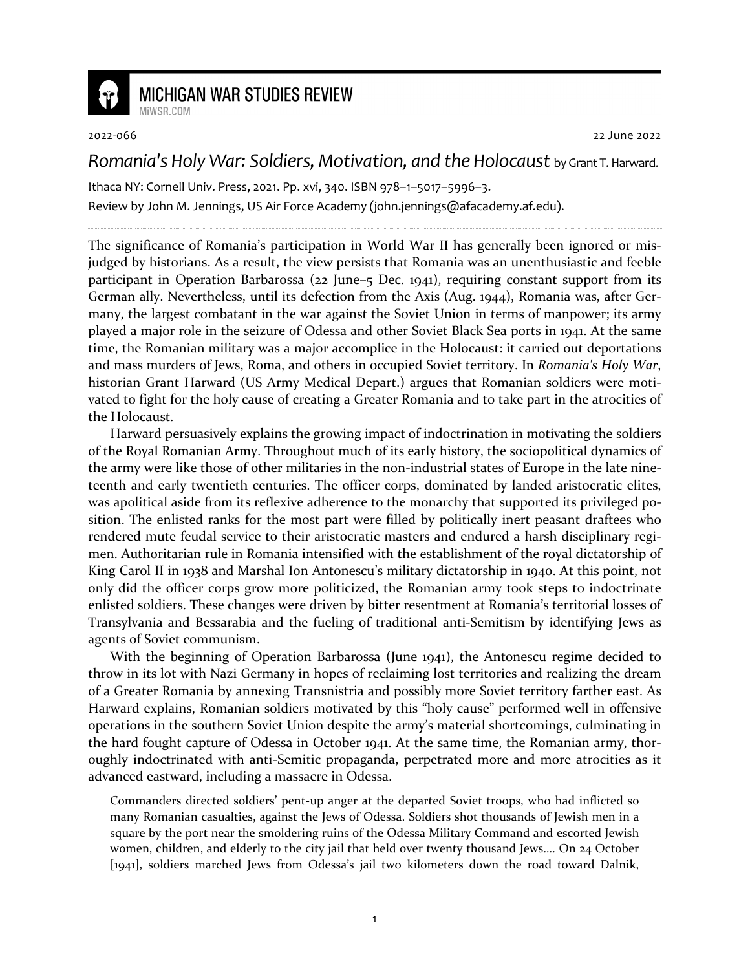

## **MICHIGAN WAR STUDIES REVIEW**

MiWSR COM

2022-066 22 June 2022

## *Romania's Holy War: Soldiers, Motivation, and the Holocaust* by Grant T. Harward.

Ithaca NY: Cornell Univ. Press, 2021. Pp. xvi, 340. ISBN 978–1–5017–5996–3. Review by John M. Jennings, US Air Force Academy (john.jennings@afacademy.af.edu).

The significance of Romania's participation in World War II has generally been ignored or misjudged by historians. As a result, the view persists that Romania was an unenthusiastic and feeble participant in Operation Barbarossa (22 June–5 Dec. 1941), requiring constant support from its German ally. Nevertheless, until its defection from the Axis (Aug. 1944), Romania was, after Germany, the largest combatant in the war against the Soviet Union in terms of manpower; its army played a major role in the seizure of Odessa and other Soviet Black Sea ports in 1941. At the same time, the Romanian military was a major accomplice in the Holocaust: it carried out deportations and mass murders of Jews, Roma, and others in occupied Soviet territory. In *Romania's Holy War*, historian Grant Harward (US Army Medical Depart.) argues that Romanian soldiers were motivated to fight for the holy cause of creating a Greater Romania and to take part in the atrocities of the Holocaust.

Harward persuasively explains the growing impact of indoctrination in motivating the soldiers of the Royal Romanian Army. Throughout much of its early history, the sociopolitical dynamics of the army were like those of other militaries in the non-industrial states of Europe in the late nineteenth and early twentieth centuries. The officer corps, dominated by landed aristocratic elites, was apolitical aside from its reflexive adherence to the monarchy that supported its privileged position. The enlisted ranks for the most part were filled by politically inert peasant draftees who rendered mute feudal service to their aristocratic masters and endured a harsh disciplinary regimen. Authoritarian rule in Romania intensified with the establishment of the royal dictatorship of King Carol II in 1938 and Marshal Ion Antonescu's military dictatorship in 1940. At this point, not only did the officer corps grow more politicized, the Romanian army took steps to indoctrinate enlisted soldiers. These changes were driven by bitter resentment at Romania's territorial losses of Transylvania and Bessarabia and the fueling of traditional anti-Semitism by identifying Jews as agents of Soviet communism.

With the beginning of Operation Barbarossa (June 1941), the Antonescu regime decided to throw in its lot with Nazi Germany in hopes of reclaiming lost territories and realizing the dream of a Greater Romania by annexing Transnistria and possibly more Soviet territory farther east. As Harward explains, Romanian soldiers motivated by this "holy cause" performed well in offensive operations in the southern Soviet Union despite the army's material shortcomings, culminating in the hard fought capture of Odessa in October 1941. At the same time, the Romanian army, thoroughly indoctrinated with anti-Semitic propaganda, perpetrated more and more atrocities as it advanced eastward, including a massacre in Odessa.

Commanders directed soldiers' pent-up anger at the departed Soviet troops, who had inflicted so many Romanian casualties, against the Jews of Odessa. Soldiers shot thousands of Jewish men in a square by the port near the smoldering ruins of the Odessa Military Command and escorted Jewish women, children, and elderly to the city jail that held over twenty thousand Jews…. On 24 October [1941], soldiers marched Jews from Odessa's jail two kilometers down the road toward Dalnik,